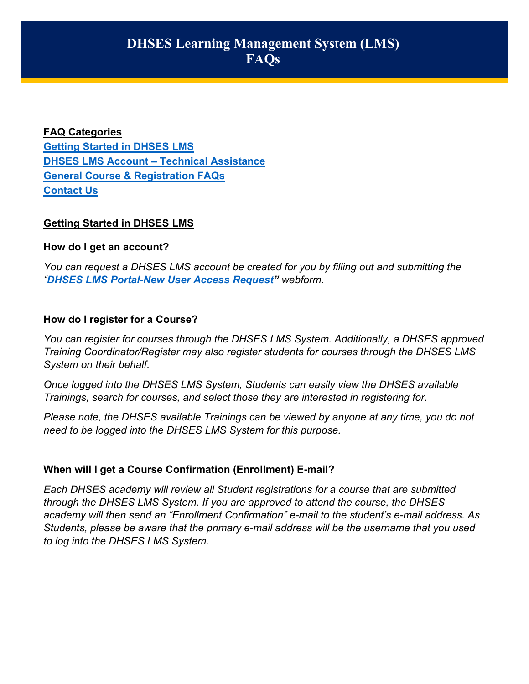**FAQ Categories [Getting Started in DHSES LMS](#page-0-0) [DHSES LMS Account –](#page-1-0) Technical Assistance [General Course & Registration FAQs](#page-2-0) [Contact Us](#page-2-1)**

# <span id="page-0-0"></span>**Getting Started in DHSES LMS**

#### **How do I get an account?**

*You can request a DHSES LMS account be created for you by filling out and submitting the "[DHSES LMS Portal-New User Access Request"](https://lmsportal-dhses.ny.gov/acadisviewer/WebForms/Public/UserDataCollector.aspx?ID=1791af8a-0f7b-457d-addc-487f42916a22) webform.*

#### **How do I register for a Course?**

*You can register for courses through the DHSES LMS System. Additionally, a DHSES approved Training Coordinator/Register may also register students for courses through the DHSES LMS System on their behalf.*

*Once logged into the DHSES LMS System, Students can easily view the DHSES available Trainings, search for courses, and select those they are interested in registering for.*

*Please note, the DHSES available Trainings can be viewed by anyone at any time, you do not need to be logged into the DHSES LMS System for this purpose.*

# **When will I get a Course Confirmation (Enrollment) E-mail?**

*Each DHSES academy will review all Student registrations for a course that are submitted through the DHSES LMS System. If you are approved to attend the course, the DHSES academy will then send an "Enrollment Confirmation" e-mail to the student's e-mail address. As Students, please be aware that the primary e-mail address will be the username that you used to log into the DHSES LMS System.*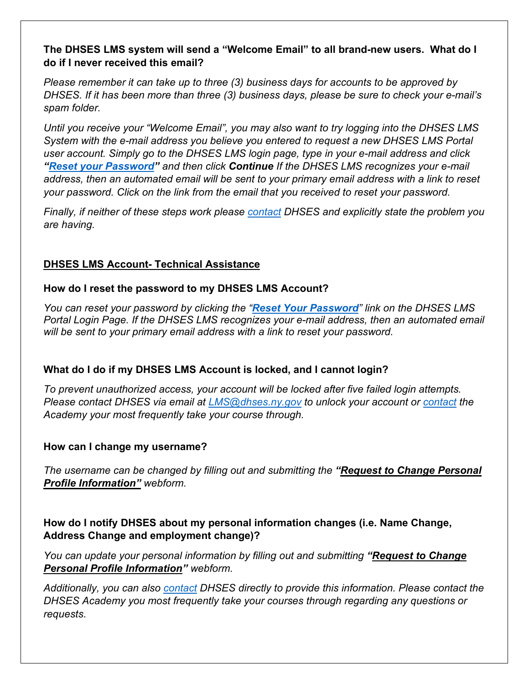#### **The DHSES LMS system will send a "Welcome Email" to all brand-new users. What do I do if I never received this email?**

*Please remember it can take up to three (3) business days for accounts to be approved by DHSES. If it has been more than three (3) business days, please be sure to check your e-mail's spam folder.* 

*Until you receive your "Welcome Email", you may also want to try logging into the DHSES LMS System with the e-mail address you believe you entered to request a new DHSES LMS Portal user account. Simply go to the DHSES LMS login page, type in your e-mail address and click ["Reset your Password"](https://lmsportal-dhses.ny.gov/AcadisViewer/PasswordReset/RequestPassword.aspx?Email=) and then click Continue If the DHSES LMS recognizes your e-mail address, then an automated email will be sent to your primary email address with a link to reset your password. Click on the link from the email that you received to reset your password.*

*Finally, if neither of these steps work please [contact](#page-2-1) DHSES and explicitly state the problem you are having.*

# <span id="page-1-0"></span>**DHSES LMS Account- Technical Assistance**

# **How do I reset the password to my DHSES LMS Account?**

*You can reset your password by clicking the "[Reset Your Password](https://lmsportal-dhses.ny.gov/AcadisViewer/PasswordReset/RequestPassword.aspx?Email=)" link on the DHSES LMS Portal Login Page. If the DHSES LMS recognizes your e-mail address, then an automated email will be sent to your primary email address with a link to reset your password.*

# **What do I do if my DHSES LMS Account is locked, and I cannot login?**

*To prevent unauthorized access, your account will be locked after five failed login attempts. Please contact DHSES via email at [LMS@dhses.ny.gov](mailto:LMS@dhses.ny.gov) to unlock your account or [contact](#page-2-1) the Academy your most frequently take your course through.*

#### **How can I change my username?**

*The username can be changed by filling out and submitting the ["Request to Change Personal](https://lmsportal-dhses.ny.gov/AcadisViewer/WebForms/Public/UserDataCollector.aspx?ID=3043d33f-5ecb-4433-913c-1493e2eb526e)  [Profile Information"](https://lmsportal-dhses.ny.gov/AcadisViewer/WebForms/Public/UserDataCollector.aspx?ID=3043d33f-5ecb-4433-913c-1493e2eb526e) webform.*

# **How do I notify DHSES about my personal information changes (i.e. Name Change, Address Change and employment change)?**

*You can update your personal information by filling out and submitting ["Request to Change](https://lmsportal-dhses.ny.gov/AcadisViewer/WebForms/Public/UserDataCollector.aspx?ID=3043d33f-5ecb-4433-913c-1493e2eb526e)  [Personal Profile Information"](https://lmsportal-dhses.ny.gov/AcadisViewer/WebForms/Public/UserDataCollector.aspx?ID=3043d33f-5ecb-4433-913c-1493e2eb526e) webform.*

*Additionally, you can also [contact](#page-2-1) DHSES directly to provide this information. Please contact the DHSES Academy you most frequently take your courses through regarding any questions or requests*.